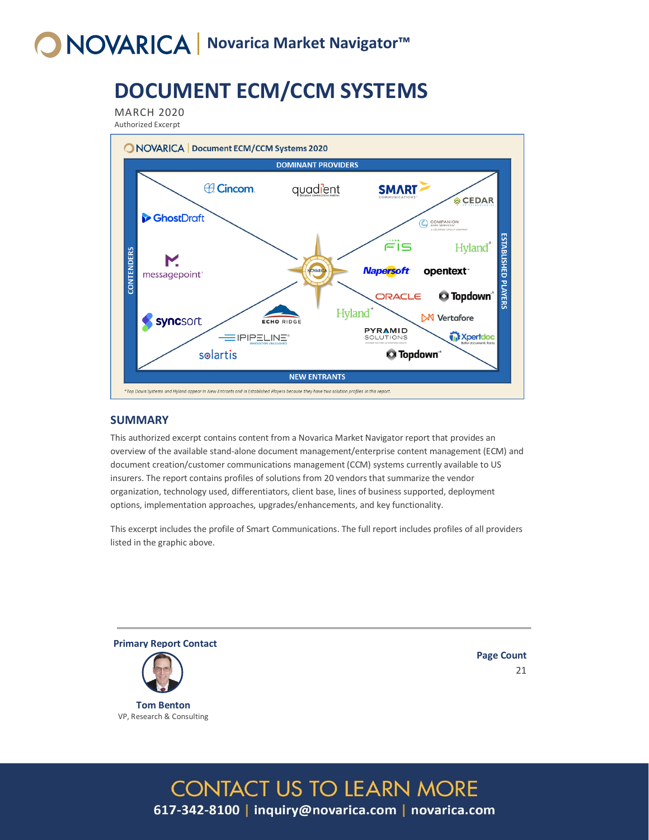# **O NOVARICA** Novarica Market Navigator™

## **DOCUMENT ECM/CCM SYSTEMS**

MARCH 2020

Authorized Excerpt



### **SUMMARY**

This authorized excerpt contains content from a Novarica Market Navigator report that provides an overview of the available stand-alone document management/enterprise content management (ECM) and document creation/customer communications management (CCM) systems currently available to US insurers. The report contains profiles of solutions from 20 vendors that summarize the vendor organization, technology used, differentiators, client base, lines of business supported, deployment options, implementation approaches, upgrades/enhancements, and key functionality.

This excerpt includes the profile of Smart Communications. The full report includes profiles of all providers listed in the graphic above.

**CONTACT US TO LEARN MORE** 

617-342-8100 | inquiry@novarica.com | novarica.com



**Tom Benton** VP, Research & Consulting **Page Count** 21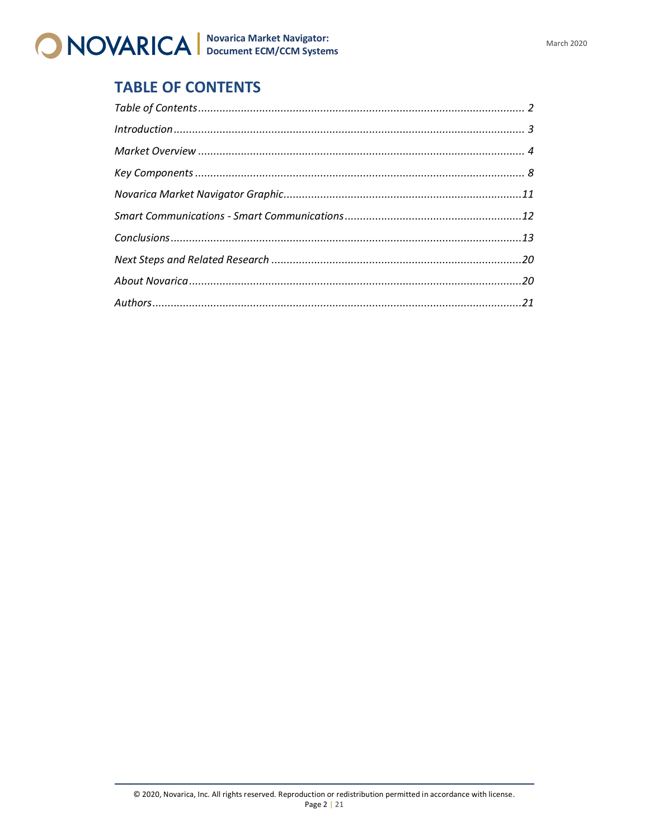

### <span id="page-1-0"></span>**TABLE OF CONTENTS**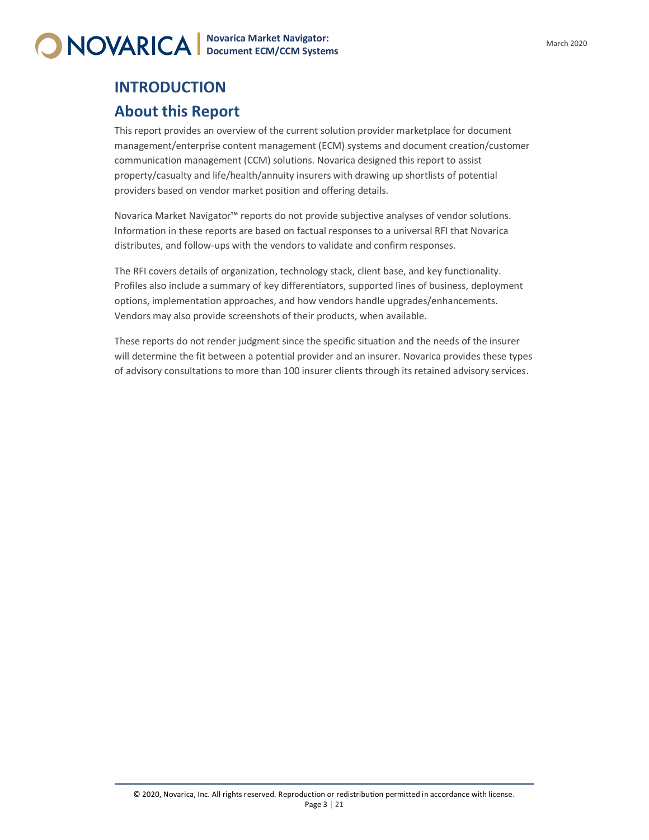

### <span id="page-2-0"></span>**INTRODUCTION About this Report**

This report provides an overview of the current solution provider marketplace for document management/enterprise content management (ECM) systems and document creation/customer communication management (CCM) solutions. Novarica designed this report to assist property/casualty and life/health/annuity insurers with drawing up shortlists of potential providers based on vendor market position and offering details.

Novarica Market Navigator™ reports do not provide subjective analyses of vendor solutions. Information in these reports are based on factual responses to a universal RFI that Novarica distributes, and follow-ups with the vendors to validate and confirm responses.

The RFI covers details of organization, technology stack, client base, and key functionality. Profiles also include a summary of key differentiators, supported lines of business, deployment options, implementation approaches, and how vendors handle upgrades/enhancements. Vendors may also provide screenshots of their products, when available.

These reports do not render judgment since the specific situation and the needs of the insurer will determine the fit between a potential provider and an insurer. Novarica provides these types of advisory consultations to more than 100 insurer clients through its retained advisory services.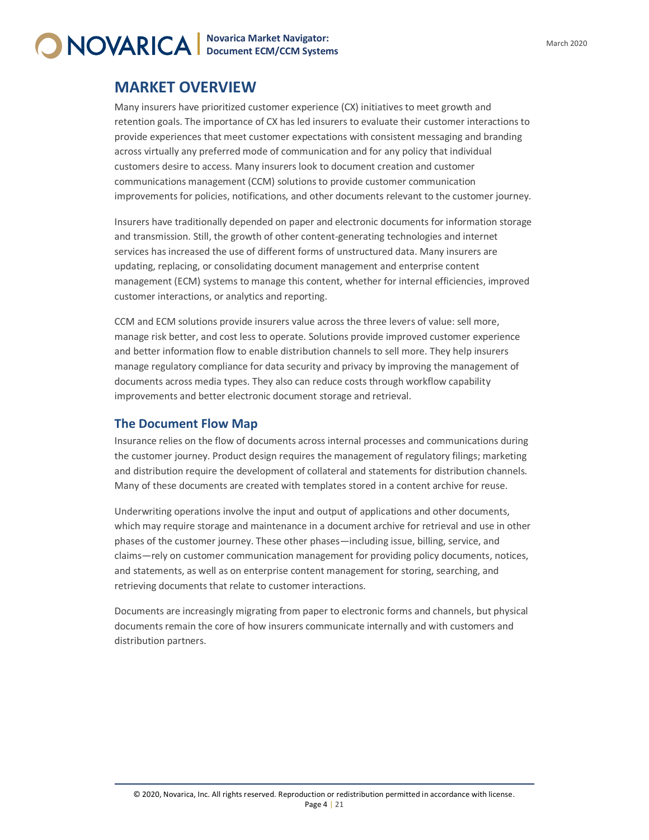

### <span id="page-3-0"></span>**MARKET OVERVIEW**

Many insurers have prioritized customer experience (CX) initiatives to meet growth and retention goals. The importance of CX has led insurers to evaluate their customer interactions to provide experiences that meet customer expectations with consistent messaging and branding across virtually any preferred mode of communication and for any policy that individual customers desire to access. Many insurers look to document creation and customer communications management (CCM) solutions to provide customer communication improvements for policies, notifications, and other documents relevant to the customer journey.

Insurers have traditionally depended on paper and electronic documents for information storage and transmission. Still, the growth of other content-generating technologies and internet services has increased the use of different forms of unstructured data. Many insurers are updating, replacing, or consolidating document management and enterprise content management (ECM) systems to manage this content, whether for internal efficiencies, improved customer interactions, or analytics and reporting.

CCM and ECM solutions provide insurers value across the three levers of value: sell more, manage risk better, and cost less to operate. Solutions provide improved customer experience and better information flow to enable distribution channels to sell more. They help insurers manage regulatory compliance for data security and privacy by improving the management of documents across media types. They also can reduce costs through workflow capability improvements and better electronic document storage and retrieval.

### **The Document Flow Map**

Insurance relies on the flow of documents across internal processes and communications during the customer journey. Product design requires the management of regulatory filings; marketing and distribution require the development of collateral and statements for distribution channels. Many of these documents are created with templates stored in a content archive for reuse.

Underwriting operations involve the input and output of applications and other documents, which may require storage and maintenance in a document archive for retrieval and use in other phases of the customer journey. These other phases—including issue, billing, service, and claims—rely on customer communication management for providing policy documents, notices, and statements, as well as on enterprise content management for storing, searching, and retrieving documents that relate to customer interactions.

Documents are increasingly migrating from paper to electronic forms and channels, but physical documents remain the core of how insurers communicate internally and with customers and distribution partners.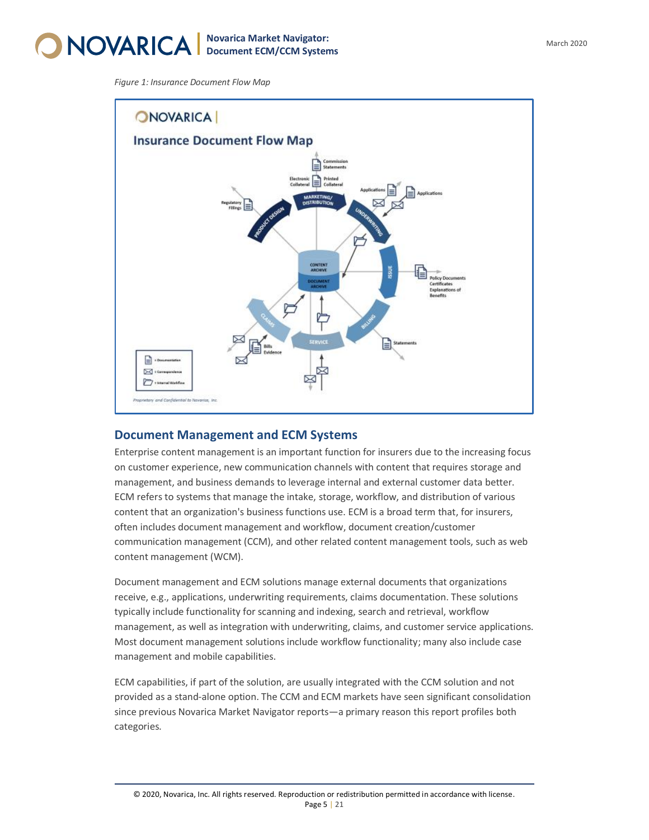

*Figure 1: Insurance Document Flow Map*



### **Document Management and ECM Systems**

Enterprise content management is an important function for insurers due to the increasing focus on customer experience, new communication channels with content that requires storage and management, and business demands to leverage internal and external customer data better. ECM refers to systems that manage the intake, storage, workflow, and distribution of various content that an organization's business functions use. ECM is a broad term that, for insurers, often includes document management and workflow, document creation/customer communication management (CCM), and other related content management tools, such as web content management (WCM).

Document management and ECM solutions manage external documents that organizations receive, e.g., applications, underwriting requirements, claims documentation. These solutions typically include functionality for scanning and indexing, search and retrieval, workflow management, as well as integration with underwriting, claims, and customer service applications. Most document management solutions include workflow functionality; many also include case management and mobile capabilities.

ECM capabilities, if part of the solution, are usually integrated with the CCM solution and not provided as a stand-alone option. The CCM and ECM markets have seen significant consolidation since previous Novarica Market Navigator reports—a primary reason this report profiles both categories.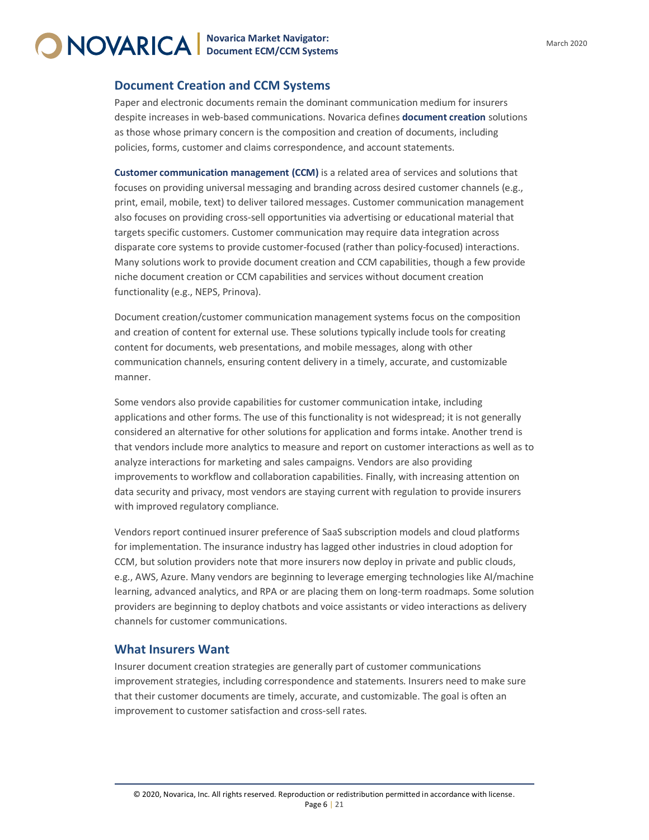### **Document Creation and CCM Systems**

Paper and electronic documents remain the dominant communication medium for insurers despite increases in web-based communications. Novarica defines **document creation** solutions as those whose primary concern is the composition and creation of documents, including policies, forms, customer and claims correspondence, and account statements.

**Customer communication management (CCM)** is a related area of services and solutions that focuses on providing universal messaging and branding across desired customer channels (e.g., print, email, mobile, text) to deliver tailored messages. Customer communication management also focuses on providing cross-sell opportunities via advertising or educational material that targets specific customers. Customer communication may require data integration across disparate core systems to provide customer-focused (rather than policy-focused) interactions. Many solutions work to provide document creation and CCM capabilities, though a few provide niche document creation or CCM capabilities and services without document creation functionality (e.g., NEPS, Prinova).

Document creation/customer communication management systems focus on the composition and creation of content for external use. These solutions typically include tools for creating content for documents, web presentations, and mobile messages, along with other communication channels, ensuring content delivery in a timely, accurate, and customizable manner.

Some vendors also provide capabilities for customer communication intake, including applications and other forms. The use of this functionality is not widespread; it is not generally considered an alternative for other solutions for application and forms intake. Another trend is that vendors include more analytics to measure and report on customer interactions as well as to analyze interactions for marketing and sales campaigns. Vendors are also providing improvements to workflow and collaboration capabilities. Finally, with increasing attention on data security and privacy, most vendors are staying current with regulation to provide insurers with improved regulatory compliance.

Vendors report continued insurer preference of SaaS subscription models and cloud platforms for implementation. The insurance industry has lagged other industries in cloud adoption for CCM, but solution providers note that more insurers now deploy in private and public clouds, e.g., AWS, Azure. Many vendors are beginning to leverage emerging technologies like AI/machine learning, advanced analytics, and RPA or are placing them on long-term roadmaps. Some solution providers are beginning to deploy chatbots and voice assistants or video interactions as delivery channels for customer communications.

### **What Insurers Want**

Insurer document creation strategies are generally part of customer communications improvement strategies, including correspondence and statements. Insurers need to make sure that their customer documents are timely, accurate, and customizable. The goal is often an improvement to customer satisfaction and cross-sell rates.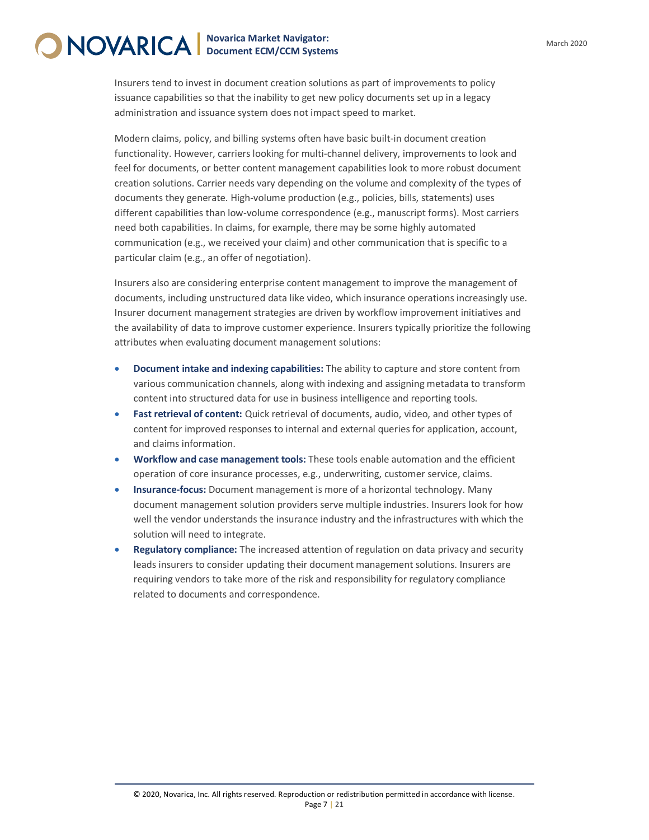Insurers tend to invest in document creation solutions as part of improvements to policy issuance capabilities so that the inability to get new policy documents set up in a legacy administration and issuance system does not impact speed to market.

Modern claims, policy, and billing systems often have basic built-in document creation functionality. However, carriers looking for multi-channel delivery, improvements to look and feel for documents, or better content management capabilities look to more robust document creation solutions. Carrier needs vary depending on the volume and complexity of the types of documents they generate. High-volume production (e.g., policies, bills, statements) uses different capabilities than low-volume correspondence (e.g., manuscript forms). Most carriers need both capabilities. In claims, for example, there may be some highly automated communication (e.g., we received your claim) and other communication that is specific to a particular claim (e.g., an offer of negotiation).

Insurers also are considering enterprise content management to improve the management of documents, including unstructured data like video, which insurance operations increasingly use. Insurer document management strategies are driven by workflow improvement initiatives and the availability of data to improve customer experience. Insurers typically prioritize the following attributes when evaluating document management solutions:

- **Document intake and indexing capabilities:** The ability to capture and store content from various communication channels, along with indexing and assigning metadata to transform content into structured data for use in business intelligence and reporting tools.
- **Fast retrieval of content:** Quick retrieval of documents, audio, video, and other types of content for improved responses to internal and external queries for application, account, and claims information.
- **Workflow and case management tools:** These tools enable automation and the efficient operation of core insurance processes, e.g., underwriting, customer service, claims.
- **Insurance-focus:** Document management is more of a horizontal technology. Many document management solution providers serve multiple industries. Insurers look for how well the vendor understands the insurance industry and the infrastructures with which the solution will need to integrate.
- **Regulatory compliance:** The increased attention of regulation on data privacy and security leads insurers to consider updating their document management solutions. Insurers are requiring vendors to take more of the risk and responsibility for regulatory compliance related to documents and correspondence.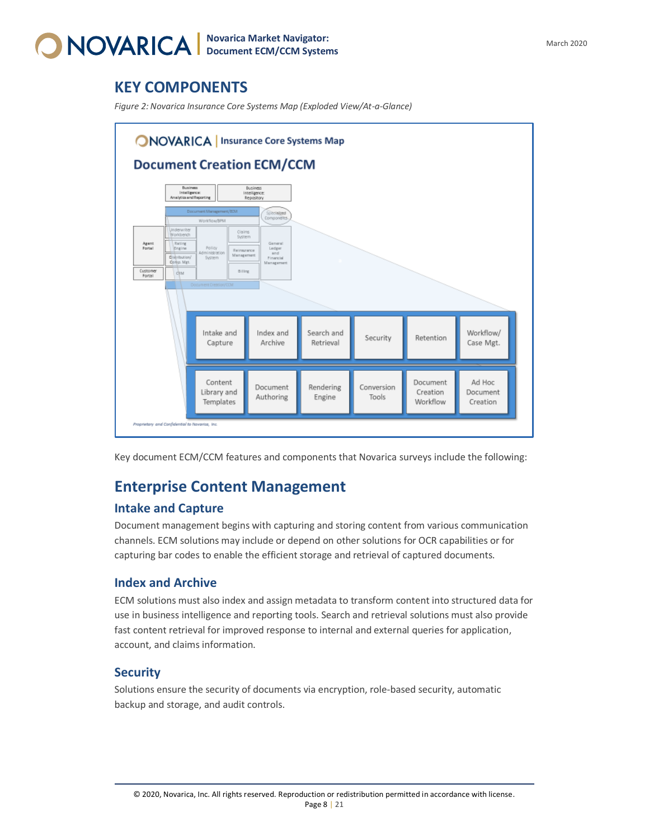

### <span id="page-7-0"></span>**KEY COMPONENTS**

*Figure 2: Novarica Insurance Core Systems Map (Exploded View/At-a-Glance)*



Key document ECM/CCM features and components that Novarica surveys include the following:

### **Enterprise Content Management**

### **Intake and Capture**

Document management begins with capturing and storing content from various communication channels. ECM solutions may include or depend on other solutions for OCR capabilities or for capturing bar codes to enable the efficient storage and retrieval of captured documents.

### **Index and Archive**

ECM solutions must also index and assign metadata to transform content into structured data for use in business intelligence and reporting tools. Search and retrieval solutions must also provide fast content retrieval for improved response to internal and external queries for application, account, and claims information.

### **Security**

Solutions ensure the security of documents via encryption, role-based security, automatic backup and storage, and audit controls.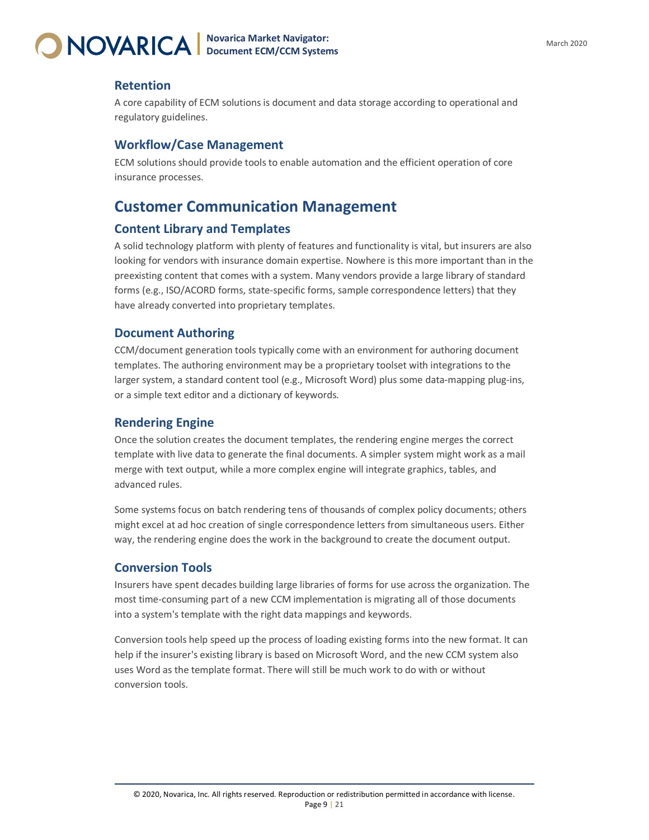

### **Retention**

A core capability of ECM solutions is document and data storage according to operational and regulatory guidelines.

### **Workflow/Case Management**

ECM solutions should provide tools to enable automation and the efficient operation of core insurance processes.

### **Customer Communication Management**

#### **Content Library and Templates**

A solid technology platform with plenty of features and functionality is vital, but insurers are also looking for vendors with insurance domain expertise. Nowhere is this more important than in the preexisting content that comes with a system. Many vendors provide a large library of standard forms (e.g., ISO/ACORD forms, state-specific forms, sample correspondence letters) that they have already converted into proprietary templates.

### **Document Authoring**

CCM/document generation tools typically come with an environment for authoring document templates. The authoring environment may be a proprietary toolset with integrations to the larger system, a standard content tool (e.g., Microsoft Word) plus some data-mapping plug-ins, or a simple text editor and a dictionary of keywords.

#### **Rendering Engine**

Once the solution creates the document templates, the rendering engine merges the correct template with live data to generate the final documents. A simpler system might work as a mail merge with text output, while a more complex engine will integrate graphics, tables, and advanced rules.

Some systems focus on batch rendering tens of thousands of complex policy documents; others might excel at ad hoc creation of single correspondence letters from simultaneous users. Either way, the rendering engine does the work in the background to create the document output.

### **Conversion Tools**

Insurers have spent decades building large libraries of forms for use across the organization. The most time-consuming part of a new CCM implementation is migrating all of those documents into a system's template with the right data mappings and keywords.

Conversion tools help speed up the process of loading existing forms into the new format. It can help if the insurer's existing library is based on Microsoft Word, and the new CCM system also uses Word as the template format. There will still be much work to do with or without conversion tools.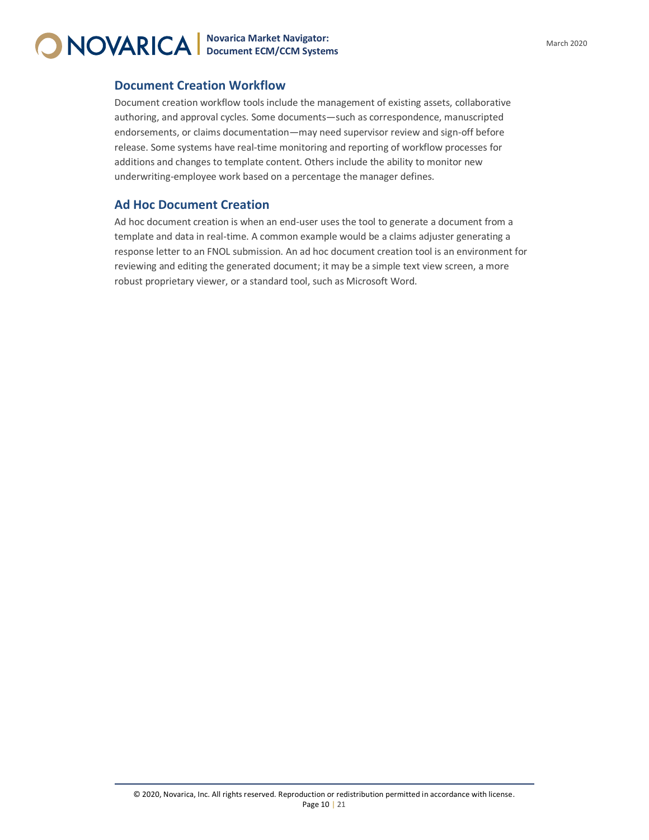

### **Document Creation Workflow**

Document creation workflow tools include the management of existing assets, collaborative authoring, and approval cycles. Some documents—such as correspondence, manuscripted endorsements, or claims documentation—may need supervisor review and sign-off before release. Some systems have real-time monitoring and reporting of workflow processes for additions and changes to template content. Others include the ability to monitor new underwriting-employee work based on a percentage the manager defines.

### **Ad Hoc Document Creation**

Ad hoc document creation is when an end-user uses the tool to generate a document from a template and data in real-time. A common example would be a claims adjuster generating a response letter to an FNOL submission. An ad hoc document creation tool is an environment for reviewing and editing the generated document; it may be a simple text view screen, a more robust proprietary viewer, or a standard tool, such as Microsoft Word.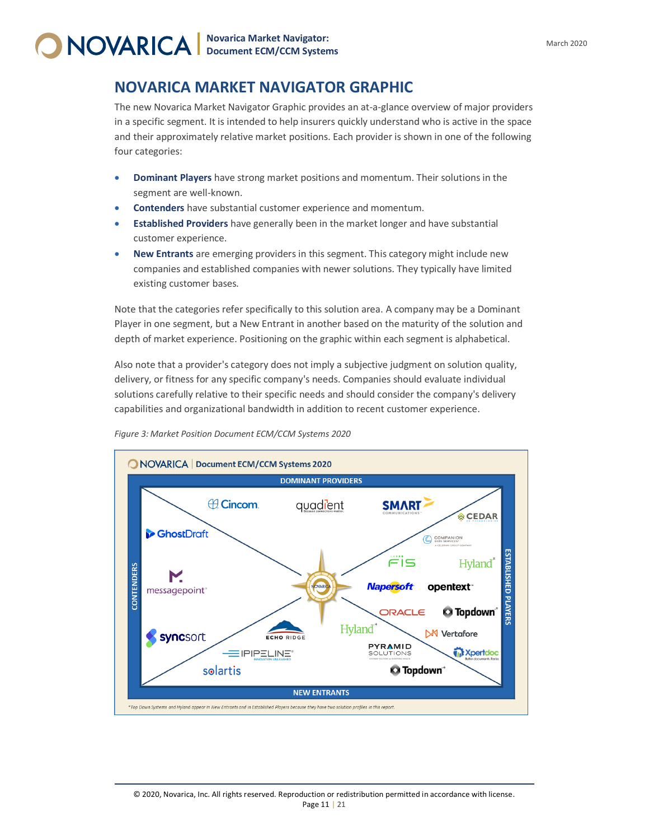### <span id="page-10-0"></span>**NOVARICA MARKET NAVIGATOR GRAPHIC**

The new Novarica Market Navigator Graphic provides an at-a-glance overview of major providers in a specific segment. It is intended to help insurers quickly understand who is active in the space and their approximately relative market positions. Each provider is shown in one of the following four categories:

- **Dominant Players** have strong market positions and momentum. Their solutions in the segment are well-known.
- **Contenders** have substantial customer experience and momentum.
- **Established Providers** have generally been in the market longer and have substantial customer experience.
- **New Entrants** are emerging providers in this segment. This category might include new companies and established companies with newer solutions. They typically have limited existing customer bases.

Note that the categories refer specifically to this solution area. A company may be a Dominant Player in one segment, but a New Entrant in another based on the maturity of the solution and depth of market experience. Positioning on the graphic within each segment is alphabetical.

Also note that a provider's category does not imply a subjective judgment on solution quality, delivery, or fitness for any specific company's needs. Companies should evaluate individual solutions carefully relative to their specific needs and should consider the company's delivery capabilities and organizational bandwidth in addition to recent customer experience.



*Figure 3: Market Position Document ECM/CCM Systems 2020*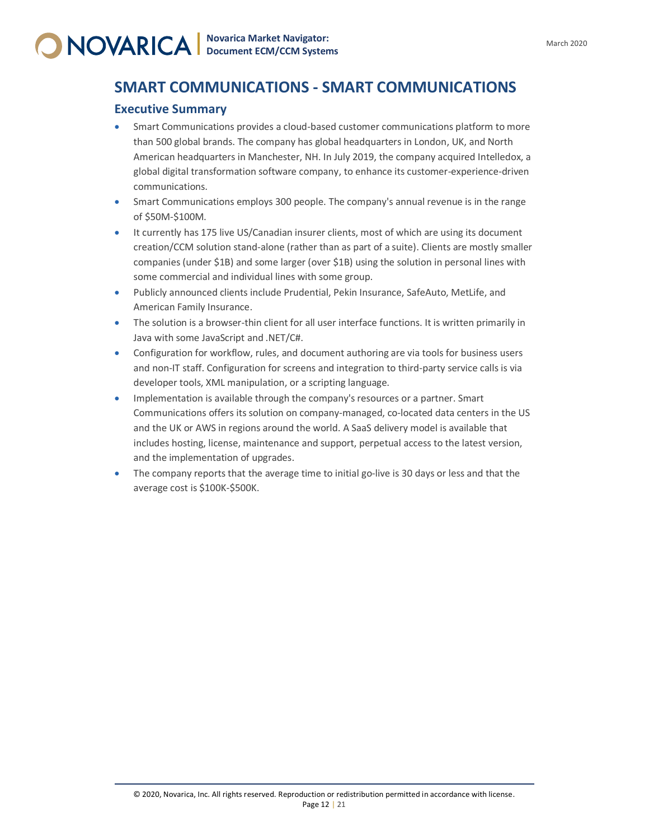### <span id="page-11-0"></span>**SMART COMMUNICATIONS - SMART COMMUNICATIONS**

### **Executive Summary**

- Smart Communications provides a cloud-based customer communications platform to more than 500 global brands. The company has global headquarters in London, UK, and North American headquarters in Manchester, NH. In July 2019, the company acquired Intelledox, a global digital transformation software company, to enhance its customer-experience-driven communications.
- Smart Communications employs 300 people. The company's annual revenue is in the range of \$50M-\$100M.
- It currently has 175 live US/Canadian insurer clients, most of which are using its document creation/CCM solution stand-alone (rather than as part of a suite). Clients are mostly smaller companies (under \$1B) and some larger (over \$1B) using the solution in personal lines with some commercial and individual lines with some group.
- Publicly announced clients include Prudential, Pekin Insurance, SafeAuto, MetLife, and American Family Insurance.
- The solution is a browser-thin client for all user interface functions. It is written primarily in Java with some JavaScript and .NET/C#.
- Configuration for workflow, rules, and document authoring are via tools for business users and non-IT staff. Configuration for screens and integration to third-party service calls is via developer tools, XML manipulation, or a scripting language.
- Implementation is available through the company's resources or a partner. Smart Communications offers its solution on company-managed, co-located data centers in the US and the UK or AWS in regions around the world. A SaaS delivery model is available that includes hosting, license, maintenance and support, perpetual access to the latest version, and the implementation of upgrades.
- The company reports that the average time to initial go-live is 30 days or less and that the average cost is \$100K-\$500K.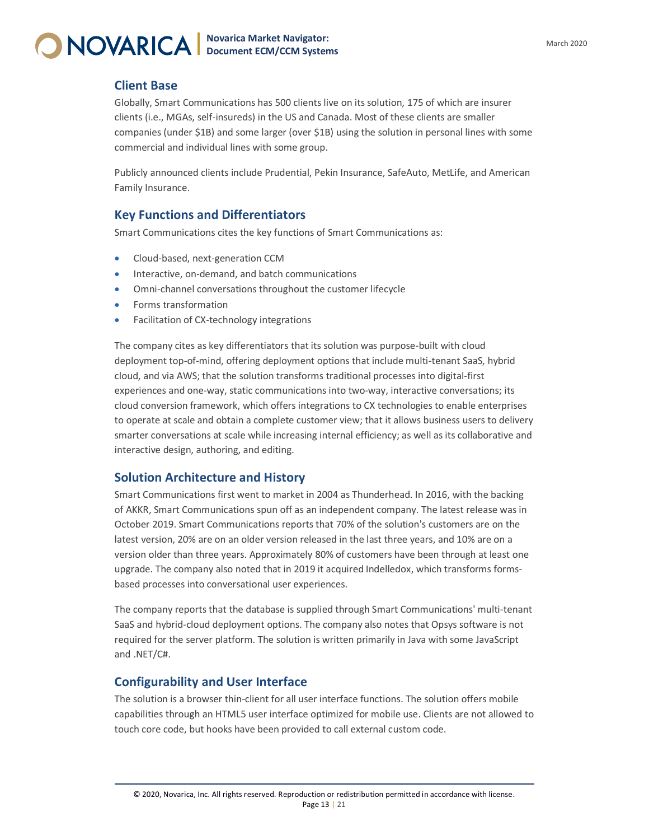

### <span id="page-12-0"></span>**Client Base**

Globally, Smart Communications has 500 clients live on its solution, 175 of which are insurer clients (i.e., MGAs, self-insureds) in the US and Canada. Most of these clients are smaller companies (under \$1B) and some larger (over \$1B) using the solution in personal lines with some commercial and individual lines with some group.

Publicly announced clients include Prudential, Pekin Insurance, SafeAuto, MetLife, and American Family Insurance.

### **Key Functions and Differentiators**

Smart Communications cites the key functions of Smart Communications as:

- Cloud-based, next-generation CCM
- Interactive, on-demand, and batch communications
- Omni-channel conversations throughout the customer lifecycle
- Forms transformation
- Facilitation of CX-technology integrations

The company cites as key differentiators that its solution was purpose-built with cloud deployment top-of-mind, offering deployment options that include multi-tenant SaaS, hybrid cloud, and via AWS; that the solution transforms traditional processes into digital-first experiences and one-way, static communications into two-way, interactive conversations; its cloud conversion framework, which offers integrations to CX technologies to enable enterprises to operate at scale and obtain a complete customer view; that it allows business users to delivery smarter conversations at scale while increasing internal efficiency; as well as its collaborative and interactive design, authoring, and editing.

### **Solution Architecture and History**

Smart Communications first went to market in 2004 as Thunderhead. In 2016, with the backing of AKKR, Smart Communications spun off as an independent company. The latest release was in October 2019. Smart Communications reports that 70% of the solution's customers are on the latest version, 20% are on an older version released in the last three years, and 10% are on a version older than three years. Approximately 80% of customers have been through at least one upgrade. The company also noted that in 2019 it acquired Indelledox, which transforms formsbased processes into conversational user experiences.

The company reports that the database is supplied through Smart Communications' multi-tenant SaaS and hybrid-cloud deployment options. The company also notes that Opsys software is not required for the server platform. The solution is written primarily in Java with some JavaScript and .NET/C#.

### **Configurability and User Interface**

The solution is a browser thin-client for all user interface functions. The solution offers mobile capabilities through an HTML5 user interface optimized for mobile use. Clients are not allowed to touch core code, but hooks have been provided to call external custom code.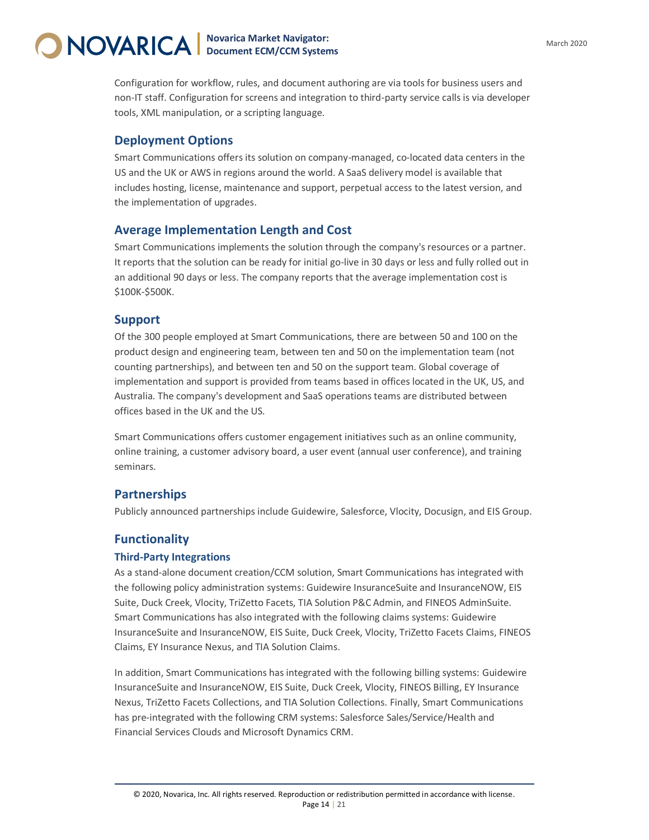Configuration for workflow, rules, and document authoring are via tools for business users and non-IT staff. Configuration for screens and integration to third-party service calls is via developer tools, XML manipulation, or a scripting language.

### **Deployment Options**

Smart Communications offers its solution on company-managed, co-located data centers in the US and the UK or AWS in regions around the world. A SaaS delivery model is available that includes hosting, license, maintenance and support, perpetual access to the latest version, and the implementation of upgrades.

### **Average Implementation Length and Cost**

Smart Communications implements the solution through the company's resources or a partner. It reports that the solution can be ready for initial go-live in 30 days or less and fully rolled out in an additional 90 days or less. The company reports that the average implementation cost is \$100K-\$500K.

#### **Support**

Of the 300 people employed at Smart Communications, there are between 50 and 100 on the product design and engineering team, between ten and 50 on the implementation team (not counting partnerships), and between ten and 50 on the support team. Global coverage of implementation and support is provided from teams based in offices located in the UK, US, and Australia. The company's development and SaaS operations teams are distributed between offices based in the UK and the US.

Smart Communications offers customer engagement initiatives such as an online community, online training, a customer advisory board, a user event (annual user conference), and training seminars.

### **Partnerships**

Publicly announced partnerships include Guidewire, Salesforce, Vlocity, Docusign, and EIS Group.

### **Functionality**

#### **Third-Party Integrations**

As a stand-alone document creation/CCM solution, Smart Communications has integrated with the following policy administration systems: Guidewire InsuranceSuite and InsuranceNOW, EIS Suite, Duck Creek, Vlocity, TriZetto Facets, TIA Solution P&C Admin, and FINEOS AdminSuite. Smart Communications has also integrated with the following claims systems: Guidewire InsuranceSuite and InsuranceNOW, EIS Suite, Duck Creek, Vlocity, TriZetto Facets Claims, FINEOS Claims, EY Insurance Nexus, and TIA Solution Claims.

In addition, Smart Communications has integrated with the following billing systems: Guidewire InsuranceSuite and InsuranceNOW, EIS Suite, Duck Creek, Vlocity, FINEOS Billing, EY Insurance Nexus, TriZetto Facets Collections, and TIA Solution Collections. Finally, Smart Communications has pre-integrated with the following CRM systems: Salesforce Sales/Service/Health and Financial Services Clouds and Microsoft Dynamics CRM.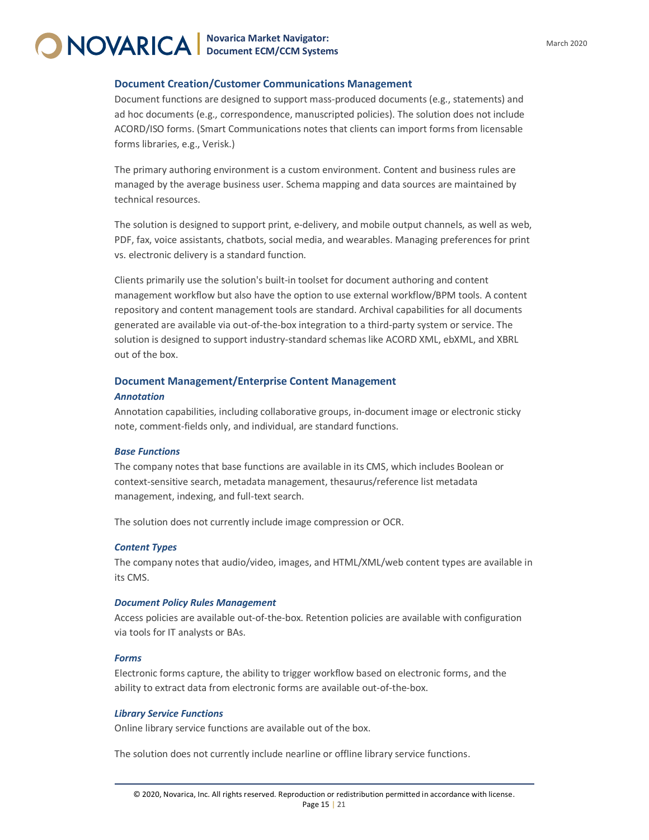#### **Document Creation/Customer Communications Management**

Document functions are designed to support mass-produced documents (e.g., statements) and ad hoc documents (e.g., correspondence, manuscripted policies). The solution does not include ACORD/ISO forms. (Smart Communications notes that clients can import forms from licensable forms libraries, e.g., Verisk.)

The primary authoring environment is a custom environment. Content and business rules are managed by the average business user. Schema mapping and data sources are maintained by technical resources.

The solution is designed to support print, e-delivery, and mobile output channels, as well as web, PDF, fax, voice assistants, chatbots, social media, and wearables. Managing preferences for print vs. electronic delivery is a standard function.

Clients primarily use the solution's built-in toolset for document authoring and content management workflow but also have the option to use external workflow/BPM tools. A content repository and content management tools are standard. Archival capabilities for all documents generated are available via out-of-the-box integration to a third-party system or service. The solution is designed to support industry-standard schemas like ACORD XML, ebXML, and XBRL out of the box.

#### **Document Management/Enterprise Content Management**

#### *Annotation*

Annotation capabilities, including collaborative groups, in-document image or electronic sticky note, comment-fields only, and individual, are standard functions.

#### *Base Functions*

The company notes that base functions are available in its CMS, which includes Boolean or context-sensitive search, metadata management, thesaurus/reference list metadata management, indexing, and full-text search.

The solution does not currently include image compression or OCR.

#### *Content Types*

The company notes that audio/video, images, and HTML/XML/web content types are available in its CMS.

#### *Document Policy Rules Management*

Access policies are available out-of-the-box. Retention policies are available with configuration via tools for IT analysts or BAs.

#### *Forms*

Electronic forms capture, the ability to trigger workflow based on electronic forms, and the ability to extract data from electronic forms are available out-of-the-box.

#### *Library Service Functions*

Online library service functions are available out of the box.

The solution does not currently include nearline or offline library service functions.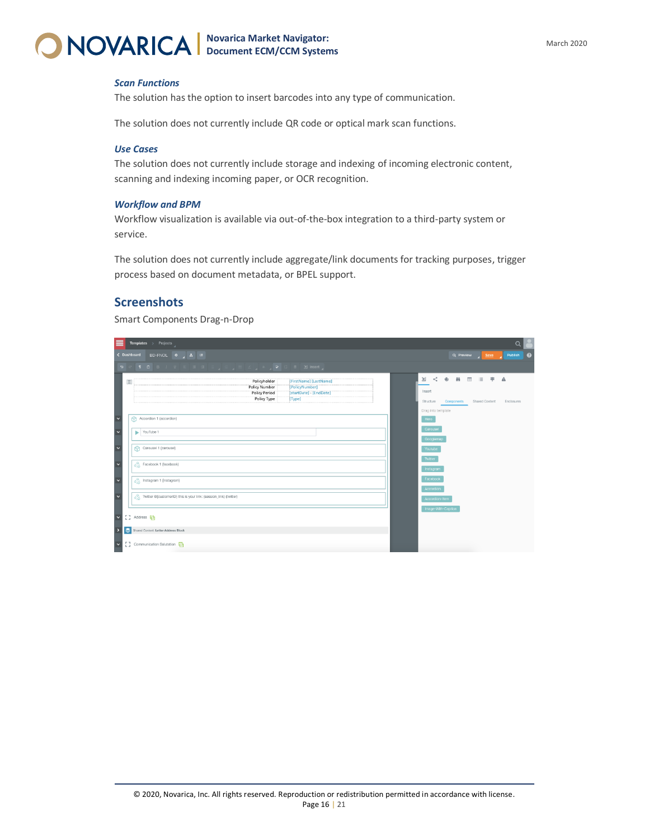

#### *Scan Functions*

The solution has the option to insert barcodes into any type of communication.

The solution does not currently include QR code or optical mark scan functions.

#### *Use Cases*

The solution does not currently include storage and indexing of incoming electronic content, scanning and indexing incoming paper, or OCR recognition.

#### *Workflow and BPM*

Workflow visualization is available via out-of-the-box integration to a third-party system or service.

The solution does not currently include aggregate/link documents for tracking purposes, trigger process based on document metadata, or BPEL support.

### **Screenshots**

Smart Components Drag-n-Drop

|                          |                      | <b>Templates</b> $\rightarrow$ Projects                                                                                                                                                                                          |                                                    |                        | $\alpha$         |  |
|--------------------------|----------------------|----------------------------------------------------------------------------------------------------------------------------------------------------------------------------------------------------------------------------------|----------------------------------------------------|------------------------|------------------|--|
|                          |                      | BD-FNOL O A R<br>< Dashboard                                                                                                                                                                                                     | Q Preview                                          | Save 1                 | Publish <b>O</b> |  |
|                          |                      |                                                                                                                                                                                                                                  |                                                    |                        |                  |  |
|                          | $\qquad \qquad \Box$ | $\lt$ $\theta$<br>╝<br>Policyholder<br>[FirstName] [LastName]<br><b>Policy Number</b><br>[PolicyNumber]<br>Insert<br><b>Policy Period</b><br>[startDate] - [EndDate]<br>Policy Type<br>[Type]<br>Structure<br>Drag into template | 雨<br>$\overline{111}$<br>Components Shared Content | $\ddot{+}$<br>$\equiv$ | Α<br>Enclosures  |  |
| $\overline{\cdot}$       |                      | 6<br>Accordion 1 (accordion)<br>Hero                                                                                                                                                                                             |                                                    |                        |                  |  |
| $\frac{1}{\sqrt{2}}$     |                      | Carousel<br>YouTube 1<br>Googlemap                                                                                                                                                                                               |                                                    |                        |                  |  |
|                          |                      | Carousel 1 (carousel)<br>Youtube                                                                                                                                                                                                 |                                                    |                        |                  |  |
| $\ddot{\phantom{0}}$     |                      | Twitter<br>$\phi_{\odot}^{(0)}$ Facebook 1 (facebook)<br>Instagram                                                                                                                                                               |                                                    |                        |                  |  |
| $\overline{\phantom{a}}$ |                      | Facebook<br>$\frac{1}{2}$ Instagram 1 (instagram)                                                                                                                                                                                |                                                    |                        |                  |  |
| V                        |                      | <b>Accordion</b><br>Twitter @{customerID} this is your link: {session_link} (twitter)<br>Accordion-Item                                                                                                                          |                                                    |                        |                  |  |
| ×                        |                      | Image-With-Caption<br>[] Address 다                                                                                                                                                                                               |                                                    |                        |                  |  |
| $\vert$                  |                      | Shared Content: Letter Address Block                                                                                                                                                                                             |                                                    |                        |                  |  |
| $\vert \cdot$            |                      | [] Communication Salutation 日                                                                                                                                                                                                    |                                                    |                        |                  |  |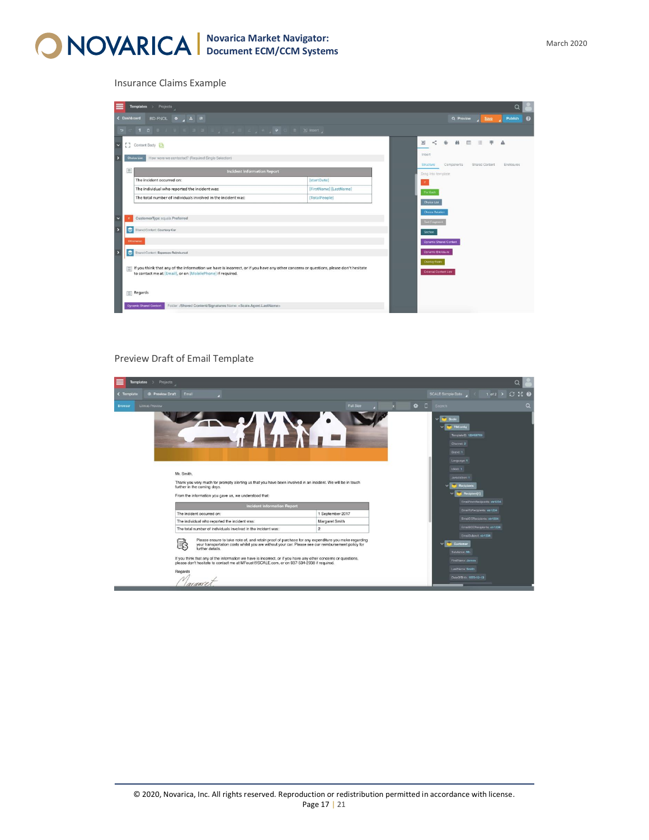

Insurance Claims Example

| Templates > Projects                                                                                                                                                                                                                                                                                                                                                                              |                        |                                                         |
|---------------------------------------------------------------------------------------------------------------------------------------------------------------------------------------------------------------------------------------------------------------------------------------------------------------------------------------------------------------------------------------------------|------------------------|---------------------------------------------------------|
| BD-FNOL 0 A R<br>< Dashboard                                                                                                                                                                                                                                                                                                                                                                      |                        | Publish<br>Q Preview<br>Save                            |
| $\mathfrak{p} \ \subset \ \P \quad \mathfrak{g} \quad \mathfrak{g} \ \perp \ \mathfrak{h} \ \ \leqslant \ \ \mathfrak{g} \ \ \mathfrak{g} \ \ \equiv \ \ \lrcorner \ \ \mathfrak{g} \ \ \perp \ \ \lrcorner \ \ \mathfrak{g} \ \ \perp \ \ \lrcorner \ \ \mathfrak{g} \ \ \text{or} \ \ \mathfrak{g} \ \ \text{or} \ \ \mathfrak{g} \ \ \text{for} \ \ \mathfrak{g} \ \ \text{and} \ \ \lrcorner$ |                        |                                                         |
| $\overline{\mathbf{v}}$<br>[그 Content Body 단                                                                                                                                                                                                                                                                                                                                                      |                        | ■ Ⅲ 三<br>$\lt$<br>$\oplus$<br>丰<br>꾓<br>А               |
| Choice List                                                                                                                                                                                                                                                                                                                                                                                       |                        | Insert                                                  |
| How were we contacted? (Required Single Selection)                                                                                                                                                                                                                                                                                                                                                |                        | Structure<br>Components<br>Shared Content<br>Enclosures |
| 圖<br><b>Incident Information Report</b>                                                                                                                                                                                                                                                                                                                                                           |                        | Drag Into template                                      |
| The incident occurred on:                                                                                                                                                                                                                                                                                                                                                                         | [startDate]            |                                                         |
| The individual who reported the incident was:                                                                                                                                                                                                                                                                                                                                                     | [FirstName] [LastName] | For Each                                                |
| The total number of individuals involved in the incident was:                                                                                                                                                                                                                                                                                                                                     | <b>TotalPeople1</b>    | <b>Choice List</b>                                      |
|                                                                                                                                                                                                                                                                                                                                                                                                   |                        | <b>Choice Relation</b>                                  |
| CustomerType equals Preferred                                                                                                                                                                                                                                                                                                                                                                     |                        | <b>Text Fragment</b>                                    |
| Shared Content: Courtesy Car                                                                                                                                                                                                                                                                                                                                                                      |                        | <b>Section</b>                                          |
| <b>Otherwise</b>                                                                                                                                                                                                                                                                                                                                                                                  |                        | Dynamic Shared Content                                  |
| $\epsilon$<br>Shared Content: Expenses Reimbursal                                                                                                                                                                                                                                                                                                                                                 |                        | <b>Dynamic Enclosure</b>                                |
|                                                                                                                                                                                                                                                                                                                                                                                                   |                        | <b>Overlay Form</b>                                     |
| If you think that any of the information we have is incorrect, or if you have any other concerns or questions, please don't hesitate                                                                                                                                                                                                                                                              |                        | <b>External Content Link</b>                            |
| to contact me at [Email], or on [MobilePhone] if required.                                                                                                                                                                                                                                                                                                                                        |                        |                                                         |
|                                                                                                                                                                                                                                                                                                                                                                                                   |                        |                                                         |
| Regards                                                                                                                                                                                                                                                                                                                                                                                           |                        |                                                         |
|                                                                                                                                                                                                                                                                                                                                                                                                   |                        |                                                         |

#### Preview Draft of Email Template

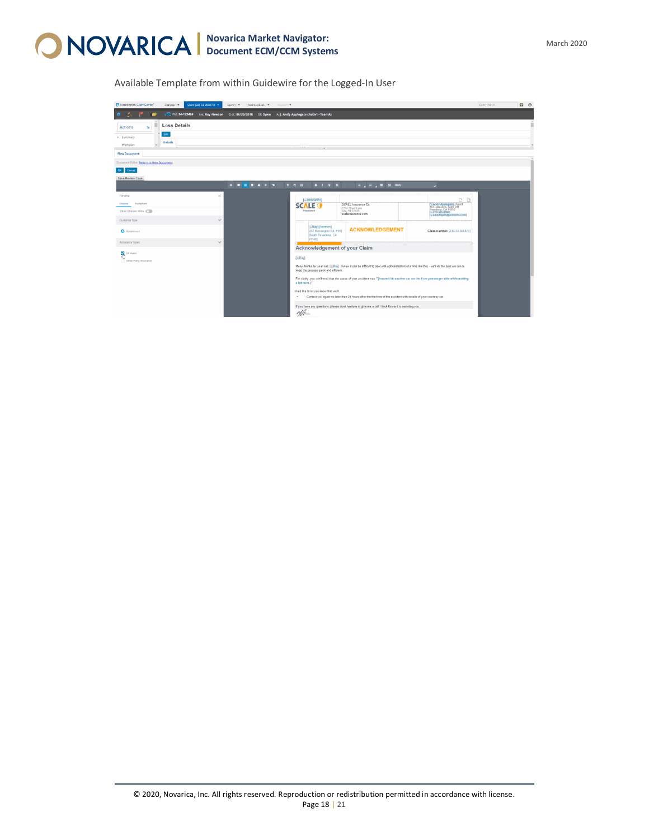

Available Template from within Guidewire for the Logged-In User

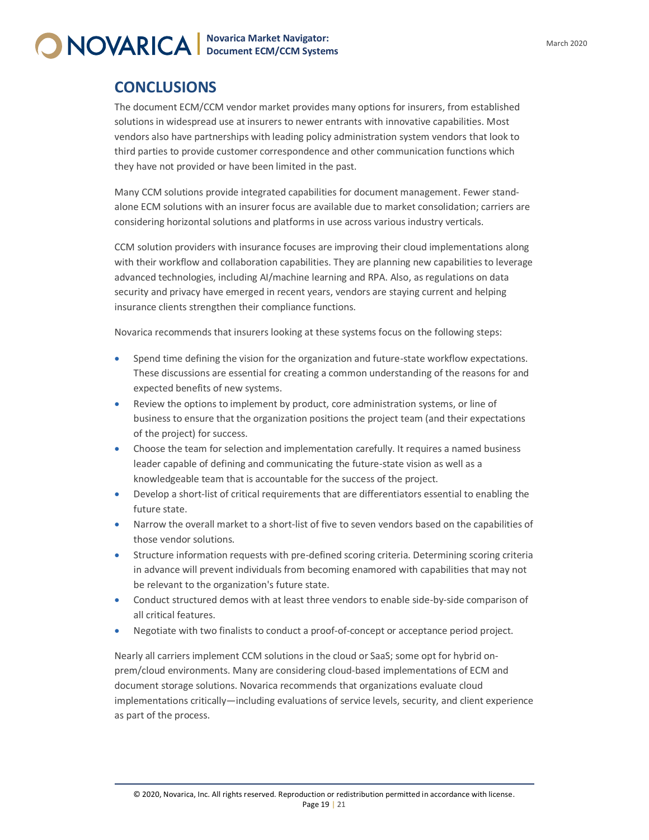### **CONCLUSIONS**

The document ECM/CCM vendor market provides many options for insurers, from established solutions in widespread use at insurers to newer entrants with innovative capabilities. Most vendors also have partnerships with leading policy administration system vendors that look to third parties to provide customer correspondence and other communication functions which they have not provided or have been limited in the past.

Many CCM solutions provide integrated capabilities for document management. Fewer standalone ECM solutions with an insurer focus are available due to market consolidation; carriers are considering horizontal solutions and platforms in use across various industry verticals.

CCM solution providers with insurance focuses are improving their cloud implementations along with their workflow and collaboration capabilities. They are planning new capabilities to leverage advanced technologies, including AI/machine learning and RPA. Also, as regulations on data security and privacy have emerged in recent years, vendors are staying current and helping insurance clients strengthen their compliance functions.

Novarica recommends that insurers looking at these systems focus on the following steps:

- Spend time defining the vision for the organization and future-state workflow expectations. These discussions are essential for creating a common understanding of the reasons for and expected benefits of new systems.
- Review the options to implement by product, core administration systems, or line of business to ensure that the organization positions the project team (and their expectations of the project) for success.
- Choose the team for selection and implementation carefully. It requires a named business leader capable of defining and communicating the future-state vision as well as a knowledgeable team that is accountable for the success of the project.
- Develop a short-list of critical requirements that are differentiators essential to enabling the future state.
- Narrow the overall market to a short-list of five to seven vendors based on the capabilities of those vendor solutions.
- Structure information requests with pre-defined scoring criteria. Determining scoring criteria in advance will prevent individuals from becoming enamored with capabilities that may not be relevant to the organization's future state.
- Conduct structured demos with at least three vendors to enable side-by-side comparison of all critical features.
- Negotiate with two finalists to conduct a proof-of-concept or acceptance period project.

Nearly all carriers implement CCM solutions in the cloud or SaaS; some opt for hybrid onprem/cloud environments. Many are considering cloud-based implementations of ECM and document storage solutions. Novarica recommends that organizations evaluate cloud implementations critically—including evaluations of service levels, security, and client experience as part of the process.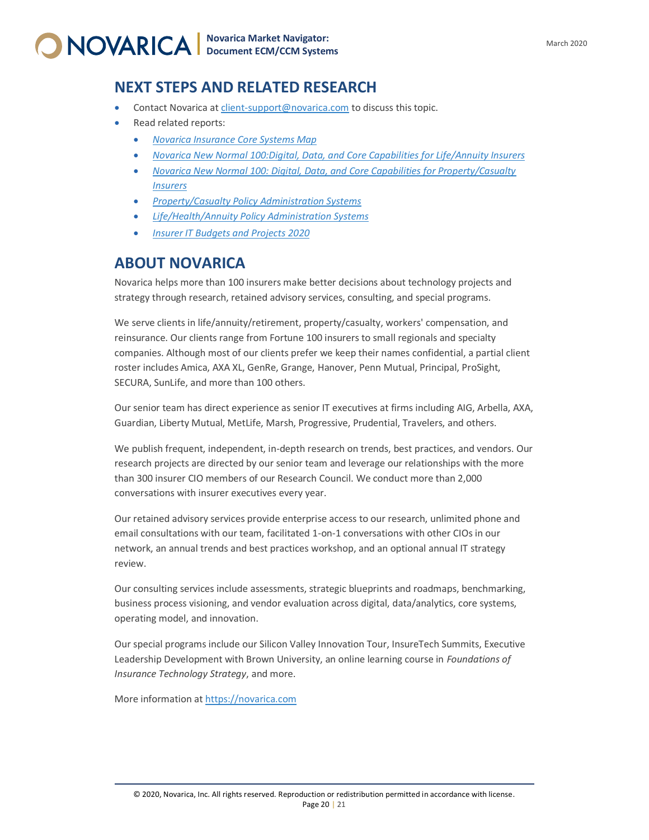### <span id="page-19-0"></span>**NEXT STEPS AND RELATED RESEARCH**

- Contact Novarica a[t client-support@novarica.com](mailto:client-support@novarica.com) to discuss this topic.
- Read related reports:
	- *[Novarica Insurance Core Systems Map](http://novarica.com/insurance-core-systems-map/)*
	- *[Novarica New Normal 100:Digital, Data, and Core Capabilities for Life/Annuity Insurers](https://novarica.com/novarica-new-normal-100-digital-data-and-core-capabilities-for-life-annuity-insurers/)*
	- *[Novarica New Normal 100: Digital, Data, and Core Capabilities for Property/Casualty](https://novarica.com/novarica-new-normal-100-digital-data-and-core-capabilities-for-property-casualty-insurers/)  [Insurers](https://novarica.com/novarica-new-normal-100-digital-data-and-core-capabilities-for-property-casualty-insurers/)*
	- *[Property/Casualty Policy Administration Systems](https://novarica.com/property-casualty-policy-administration-systems/)*
	- *[Life/Health/Annuity Policy Administration Systems](https://novarica.com/life-health-annuity-policy-administration-systems/)*
	- *[Insurer IT Budgets and Projects 2020](https://novarica.com/insurer-it-budgets-and-projects-2020/)*

### <span id="page-19-1"></span>**ABOUT NOVARICA**

Novarica helps more than 100 insurers make better decisions about technology projects and strategy through research, retained advisory services, consulting, and special programs.

We serve clients in life/annuity/retirement, property/casualty, workers' compensation, and reinsurance. Our clients range from Fortune 100 insurers to small regionals and specialty companies. Although most of our clients prefer we keep their names confidential, a partial client roster includes Amica, AXA XL, GenRe, Grange, Hanover, Penn Mutual, Principal, ProSight, SECURA, SunLife, and more than 100 others.

Our senior team has direct experience as senior IT executives at firms including AIG, Arbella, AXA, Guardian, Liberty Mutual, MetLife, Marsh, Progressive, Prudential, Travelers, and others.

We publish frequent, independent, in-depth research on trends, best practices, and vendors. Our research projects are directed by our senior team and leverage our relationships with the more than 300 insurer CIO members of our Research Council. We conduct more than 2,000 conversations with insurer executives every year.

Our retained advisory services provide enterprise access to our research, unlimited phone and email consultations with our team, facilitated 1-on-1 conversations with other CIOs in our network, an annual trends and best practices workshop, and an optional annual IT strategy review.

Our consulting services include assessments, strategic blueprints and roadmaps, benchmarking, business process visioning, and vendor evaluation across digital, data/analytics, core systems, operating model, and innovation.

Our special programs include our Silicon Valley Innovation Tour, InsureTech Summits, Executive Leadership Development with Brown University, an online learning course in *Foundations of Insurance Technology Strategy*, and more.

More information a[t https://novarica.com](https://novarica.com/)